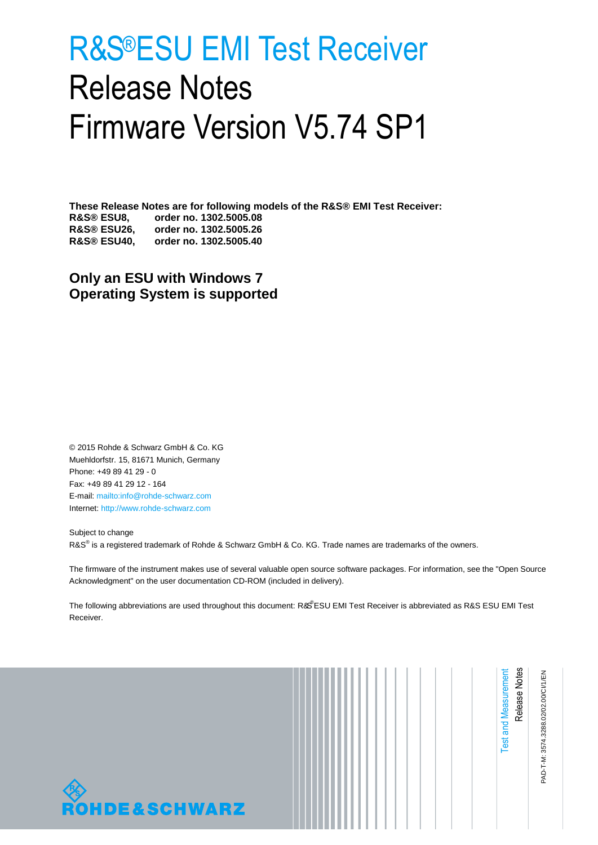# <span id="page-0-1"></span><span id="page-0-0"></span>R&S®ESU EMI Test Receiver Release Notes Firmware Version V5.74 SP1

**These Release Notes are for following models of the R&S® EMI Test Receiver: R&S® ESU8, order no. 1302.5005.08 R&S® ESU26, order no. 1302.5005.26 R&S® ESU40, order no. 1302.5005.40**

**Only an ESU with Windows 7 Operating System is supported**

© 2015 Rohde & Schwarz GmbH & Co. KG Muehldorfstr. 15, 81671 Munich, Germany Phone: +49 89 41 29 - 0 Fax: +49 89 41 29 12 - 164 E-mail:<mailto:info@rohde-schwarz.com> Internet[: http://www.rohde-schwarz.com](http://www.rohde-schwarz.com/)

Subject to change R&S<sup>®</sup> is a registered trademark of Rohde & Schwarz GmbH & Co. KG. Trade names are trademarks of the owners.

The firmware of the instrument makes use of several valuable open source software packages. For information, see the "Open Source Acknowledgment" on the user documentation CD-ROM (included in delivery).

The following abbreviations are used throughout this document: R&S®[ESU EMI Test Receiver](#page-0-0) is abbreviated as R&S ESU EMI Test [Receiver.](#page-0-0)



|  | <b>Test and Measurement</b> | Release<br>Notes | PAD-T-M: 3574.3288.02/02.00/CI/1/EN |
|--|-----------------------------|------------------|-------------------------------------|
|--|-----------------------------|------------------|-------------------------------------|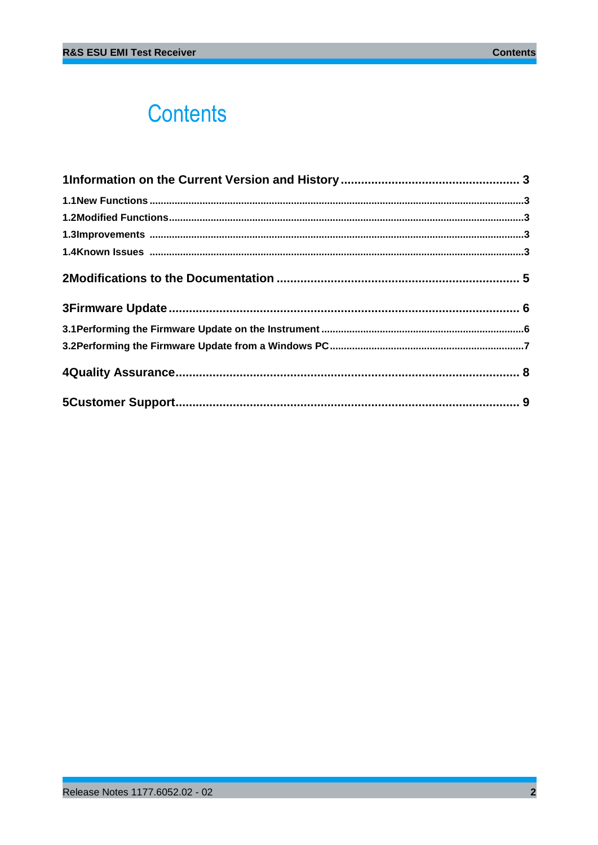## **Contents**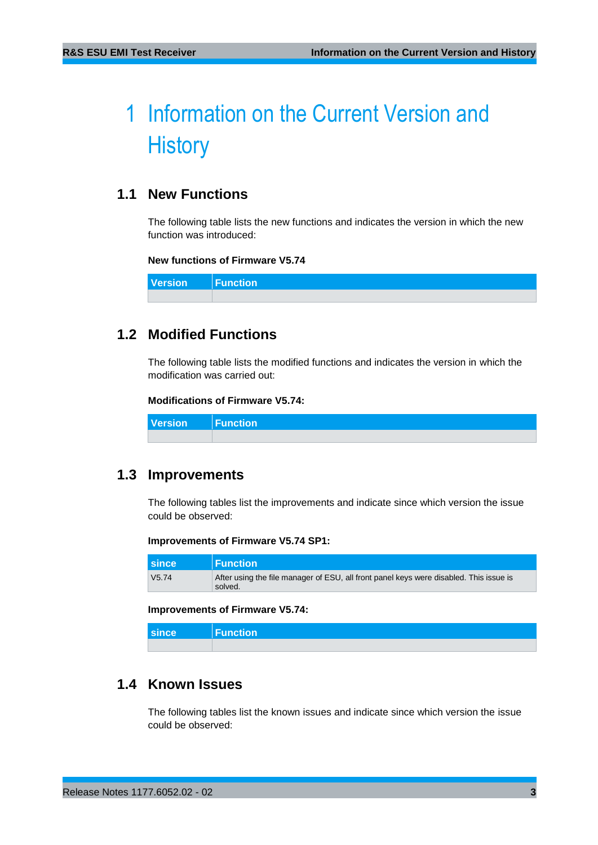## <span id="page-2-0"></span>1 Information on the Current Version and **History**

## <span id="page-2-1"></span>**1.1 New Functions**

The following table lists the new functions and indicates the version in which the new function was introduced:

### **New functions of Firmware V5.74**

<span id="page-2-2"></span>**Version Function**

## **1.2 Modified Functions**

The following table lists the modified functions and indicates the version in which the modification was carried out:

### **Modifications of Firmware V5.74:**

<span id="page-2-3"></span>**Version Function**

### **1.3 Improvements**

The following tables list the improvements and indicate since which version the issue could be observed:

#### **Improvements of Firmware V5.74 SP1:**

| <b>since</b> | <b>Function</b>                                                                                   |
|--------------|---------------------------------------------------------------------------------------------------|
| V5.74        | After using the file manager of ESU, all front panel keys were disabled. This issue is<br>solved. |

#### **Improvements of Firmware V5.74:**

<span id="page-2-4"></span>

| since | Function |
|-------|----------|
|       |          |

## **1.4 Known Issues**

The following tables list the known issues and indicate since which version the issue could be observed: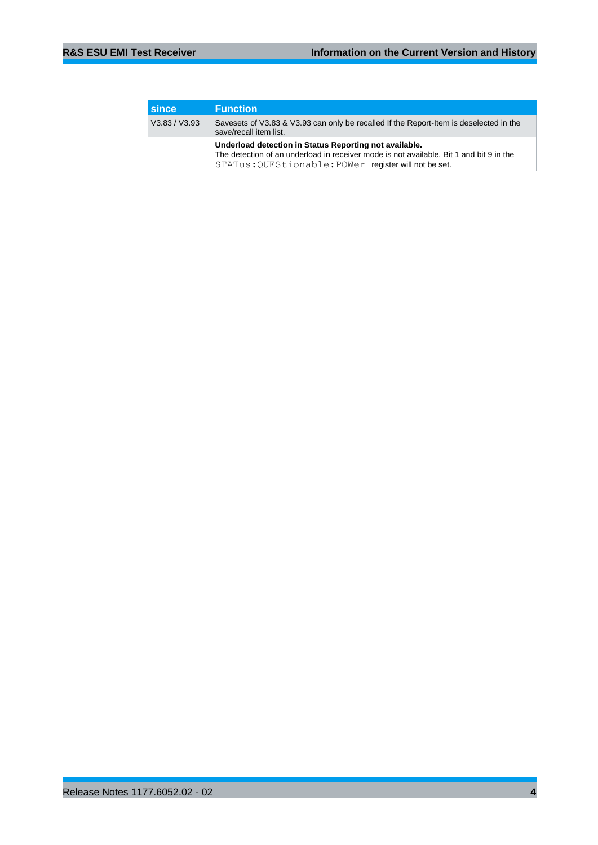| <b>Since</b>  | <b>Function</b>                                                                                                                                                                                            |  |  |
|---------------|------------------------------------------------------------------------------------------------------------------------------------------------------------------------------------------------------------|--|--|
| V3.83 / V3.93 | Savesets of V3.83 & V3.93 can only be recalled If the Report-Item is deselected in the<br>save/recall item list.                                                                                           |  |  |
|               | Underload detection in Status Reporting not available.<br>The detection of an underload in receiver mode is not available. Bit 1 and bit 9 in the<br>STATus: OUEStionable: POWer register will not be set. |  |  |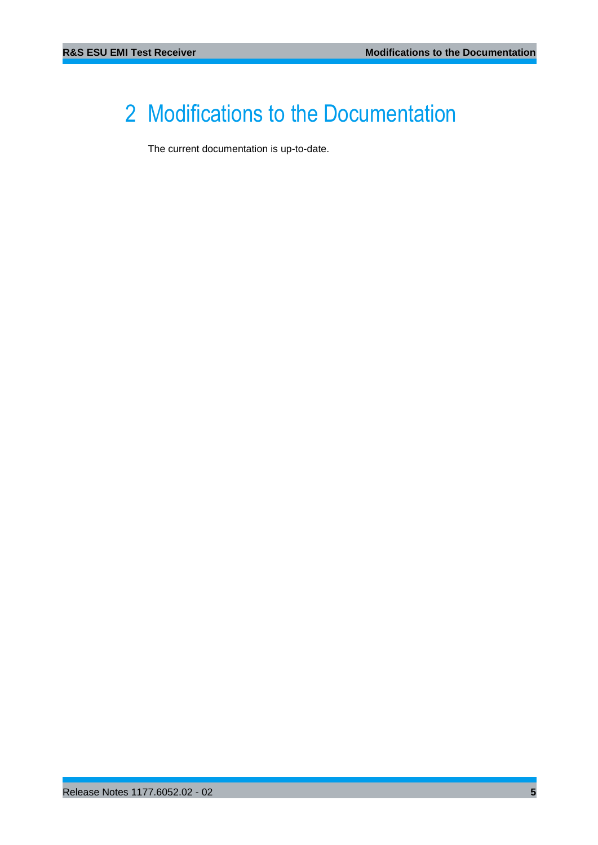## <span id="page-4-0"></span>2 Modifications to the Documentation

The current documentation is up-to-date.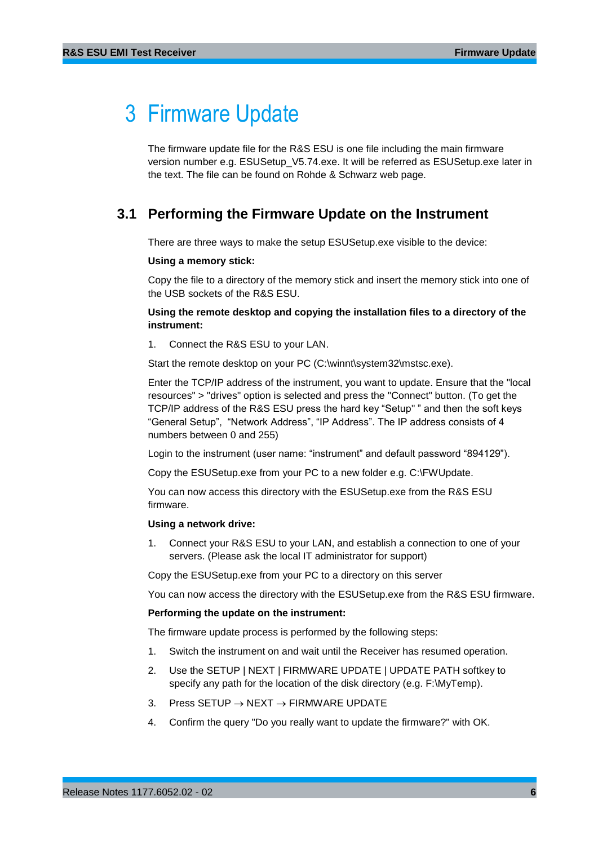## <span id="page-5-0"></span>3 Firmware Update

The firmware update file for the R&S ESU is one file including the main firmware version number e.g. ESUSetup\_V5.74.exe. It will be referred as ESUSetup.exe later in the text. The file can be found on Rohde & Schwarz web page.

## <span id="page-5-1"></span>**3.1 Performing the Firmware Update on the Instrument**

There are three ways to make the setup ESUSetup.exe visible to the device:

### **Using a memory stick:**

Copy the file to a directory of the memory stick and insert the memory stick into one of the USB sockets of the R&S ESU.

### **Using the remote desktop and copying the installation files to a directory of the instrument:**

1. Connect the R&S ESU to your LAN.

Start the remote desktop on your PC (C:\winnt\system32\mstsc.exe).

Enter the TCP/IP address of the instrument, you want to update. Ensure that the "local resources" > "drives" option is selected and press the "Connect" button. (To get the TCP/IP address of the R&S ESU press the hard key "Setup" " and then the soft keys "General Setup", "Network Address", "IP Address". The IP address consists of 4 numbers between 0 and 255)

Login to the instrument (user name: "instrument" and default password "894129").

Copy the ESUSetup.exe from your PC to a new folder e.g. C:\FWUpdate.

You can now access this directory with the ESUSetup.exe from the R&S ESU firmware.

### **Using a network drive:**

1. Connect your R&S ESU to your LAN, and establish a connection to one of your servers. (Please ask the local IT administrator for support)

Copy the ESUSetup.exe from your PC to a directory on this server

You can now access the directory with the ESUSetup.exe from the R&S ESU firmware.

### **Performing the update on the instrument:**

The firmware update process is performed by the following steps:

- 1. Switch the instrument on and wait until the Receiver has resumed operation.
- 2. Use the SETUP | NEXT | FIRMWARE UPDATE | UPDATE PATH softkey to specify any path for the location of the disk directory (e.g. F:\MyTemp).
- 3. Press SETUP  $\rightarrow$  NEXT  $\rightarrow$  FIRMWARE UPDATE
- 4. Confirm the query "Do you really want to update the firmware?" with OK.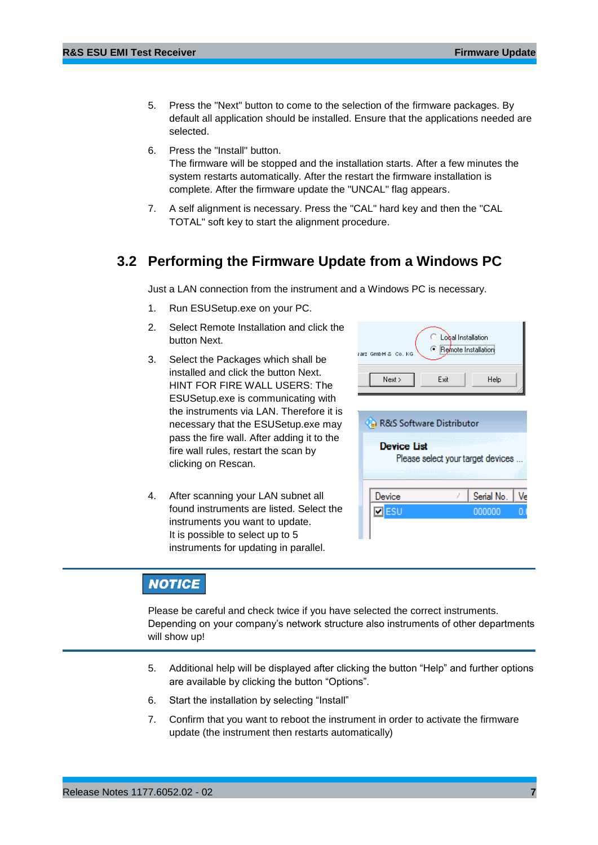- 5. Press the "Next" button to come to the selection of the firmware packages. By default all application should be installed. Ensure that the applications needed are selected.
- 6. Press the "Install" button. The firmware will be stopped and the installation starts. After a few minutes the system restarts automatically. After the restart the firmware installation is complete. After the firmware update the "UNCAL" flag appears.
- <span id="page-6-0"></span>7. A self alignment is necessary. Press the "CAL" hard key and then the "CAL TOTAL" soft key to start the alignment procedure.

### **3.2 Performing the Firmware Update from a Windows PC**

Just a LAN connection from the instrument and a Windows PC is necessary.

- 1. Run ESUSetup.exe on your PC.
- 2. Select Remote Installation and click the button Next.
- 3. Select the Packages which shall be installed and click the button Next. HINT FOR FIRE WALL USERS: The ESUSetup.exe is communicating with the instruments via LAN. Therefore it is necessary that the ESUSetup.exe may pass the fire wall. After adding it to the fire wall rules, restart the scan by clicking on Rescan.
- 4. After scanning your LAN subnet all found instruments are listed. Select the instruments you want to update. It is possible to select up to 5 instruments for updating in parallel.

| Local Installation<br>● Remote Installation<br>GmbH & Co. KG<br>rarz |      |      |  |
|----------------------------------------------------------------------|------|------|--|
| Next >                                                               | Exit | Help |  |
| <b>Ca</b> R&S Software Distributor                                   |      |      |  |
| <b>Device List</b><br>Please select your target devices              |      |      |  |

Serial No.

000000

Ve

## **NOTICE**

Please be careful and check twice if you have selected the correct instruments. Depending on your company's network structure also instruments of other departments will show up!

Device

 $\n **z**$ 

- 5. Additional help will be displayed after clicking the button "Help" and further options are available by clicking the button "Options".
- 6. Start the installation by selecting "Install"
- 7. Confirm that you want to reboot the instrument in order to activate the firmware update (the instrument then restarts automatically)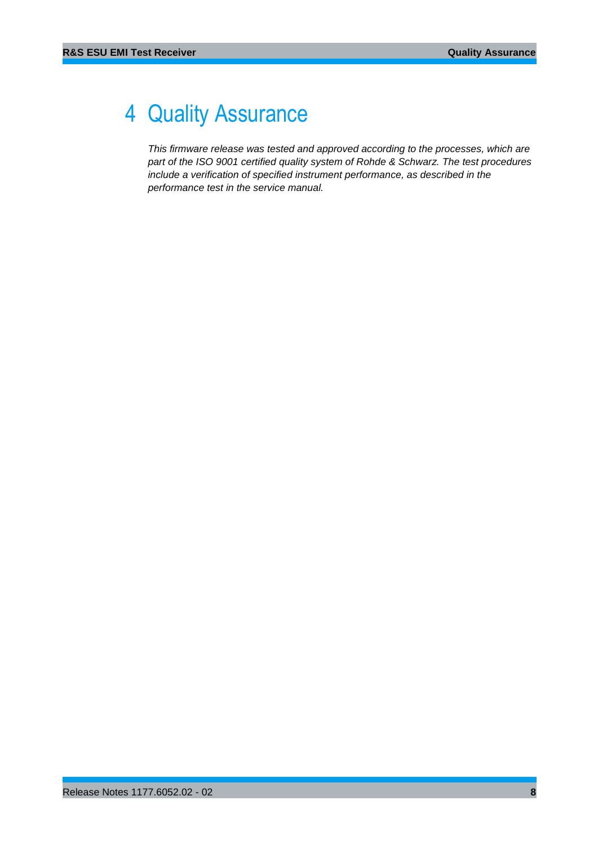## <span id="page-7-0"></span>4 Quality Assurance

*This firmware release was tested and approved according to the processes, which are part of the ISO 9001 certified quality system of Rohde & Schwarz. The test procedures include a verification of specified instrument performance, as described in the performance test in the service manual.*